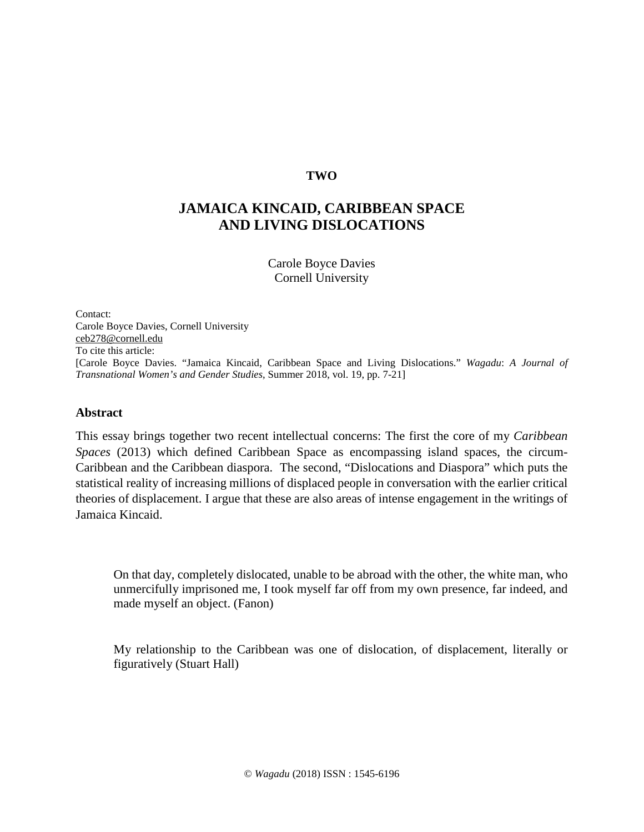# **TWO**

# **JAMAICA KINCAID, CARIBBEAN SPACE AND LIVING DISLOCATIONS**

Carole Boyce Davies Cornell University

Contact: Carole Boyce Davies, Cornell University [ceb278@cornell.edu](mailto:ceb278@cornell.edu) To cite this article: [Carole Boyce Davies. "Jamaica Kincaid, Caribbean Space and Living Dislocations." *Wagadu*: *A Journal of Transnational Women's and Gender Studies*, Summer 2018, vol. 19, pp. 7-21]

# **Abstract**

This essay brings together two recent intellectual concerns: The first the core of my *Caribbean Spaces* (2013) which defined Caribbean Space as encompassing island spaces, the circum-Caribbean and the Caribbean diaspora. The second, "Dislocations and Diaspora" which puts the statistical reality of increasing millions of displaced people in conversation with the earlier critical theories of displacement. I argue that these are also areas of intense engagement in the writings of Jamaica Kincaid.

On that day, completely dislocated, unable to be abroad with the other, the white man, who unmercifully imprisoned me, I took myself far off from my own presence, far indeed, and made myself an object. (Fanon)

My relationship to the Caribbean was one of dislocation, of displacement, literally or figuratively (Stuart Hall)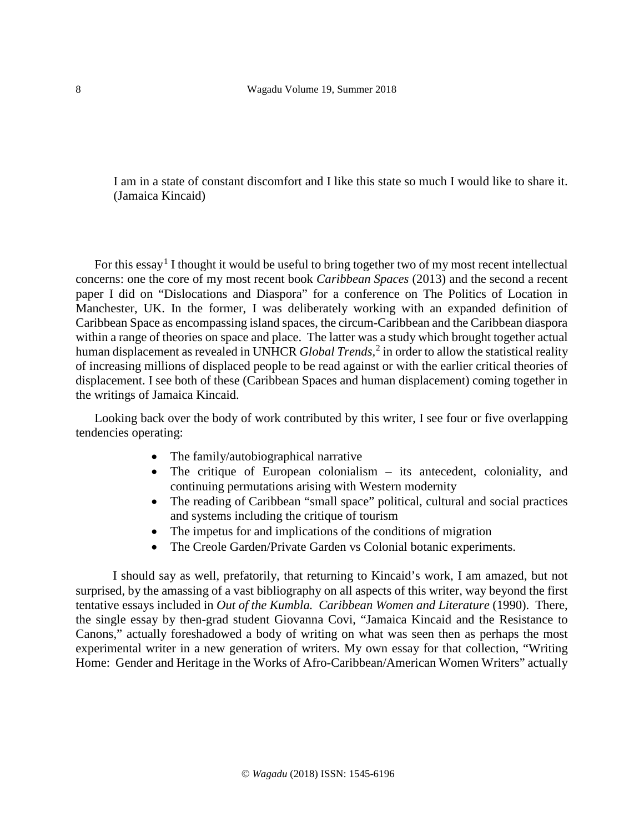I am in a state of constant discomfort and I like this state so much I would like to share it. (Jamaica Kincaid)

For this essay<sup>[1](#page-14-0)</sup> I thought it would be useful to bring together two of my most recent intellectual concerns: one the core of my most recent book *Caribbean Spaces* (2013) and the second a recent paper I did on "Dislocations and Diaspora" for a conference on The Politics of Location in Manchester, UK. In the former, I was deliberately working with an expanded definition of Caribbean Space as encompassing island spaces, the circum-Caribbean and the Caribbean diaspora within a range of theories on space and place. The latter was a study which brought together actual human displacement as revealed in UNHCR *Global Trends*,<sup>[2](#page-14-1)</sup> in order to allow the statistical reality of increasing millions of displaced people to be read against or with the earlier critical theories of displacement. I see both of these (Caribbean Spaces and human displacement) coming together in the writings of Jamaica Kincaid.

Looking back over the body of work contributed by this writer, I see four or five overlapping tendencies operating:

- The family/autobiographical narrative
- The critique of European colonialism its antecedent, coloniality, and continuing permutations arising with Western modernity
- The reading of Caribbean "small space" political, cultural and social practices and systems including the critique of tourism
- The impetus for and implications of the conditions of migration
- The Creole Garden/Private Garden vs Colonial botanic experiments.

I should say as well, prefatorily, that returning to Kincaid's work, I am amazed, but not surprised, by the amassing of a vast bibliography on all aspects of this writer, way beyond the first tentative essays included in *Out of the Kumbla. Caribbean Women and Literature* (1990). There, the single essay by then-grad student Giovanna Covi, "Jamaica Kincaid and the Resistance to Canons," actually foreshadowed a body of writing on what was seen then as perhaps the most experimental writer in a new generation of writers. My own essay for that collection, "Writing Home: Gender and Heritage in the Works of Afro-Caribbean/American Women Writers" actually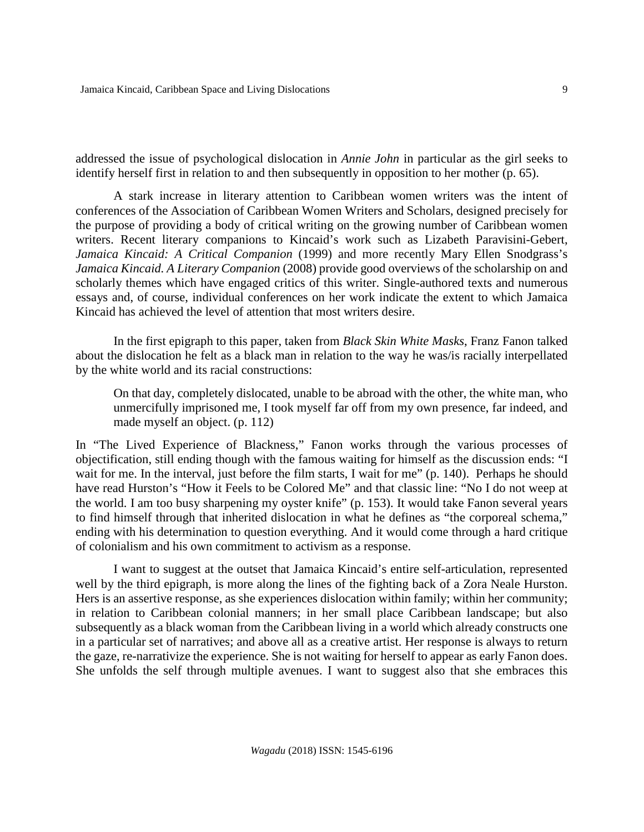addressed the issue of psychological dislocation in *Annie John* in particular as the girl seeks to identify herself first in relation to and then subsequently in opposition to her mother (p. 65).

A stark increase in literary attention to Caribbean women writers was the intent of conferences of the Association of Caribbean Women Writers and Scholars, designed precisely for the purpose of providing a body of critical writing on the growing number of Caribbean women writers. Recent literary companions to Kincaid's work such as Lizabeth Paravisini-Gebert, *Jamaica Kincaid: A Critical Companion* (1999) and more recently Mary Ellen Snodgrass's *Jamaica Kincaid. A Literary Companion* (2008) provide good overviews of the scholarship on and scholarly themes which have engaged critics of this writer. Single-authored texts and numerous essays and, of course, individual conferences on her work indicate the extent to which Jamaica Kincaid has achieved the level of attention that most writers desire.

 In the first epigraph to this paper, taken from *Black Skin White Masks*, Franz Fanon talked about the dislocation he felt as a black man in relation to the way he was/is racially interpellated by the white world and its racial constructions:

On that day, completely dislocated, unable to be abroad with the other, the white man, who unmercifully imprisoned me, I took myself far off from my own presence, far indeed, and made myself an object. (p. 112)

In "The Lived Experience of Blackness," Fanon works through the various processes of objectification, still ending though with the famous waiting for himself as the discussion ends: "I wait for me. In the interval, just before the film starts, I wait for me" (p. 140). Perhaps he should have read Hurston's "How it Feels to be Colored Me" and that classic line: "No I do not weep at the world. I am too busy sharpening my oyster knife" (p. 153). It would take Fanon several years to find himself through that inherited dislocation in what he defines as "the corporeal schema," ending with his determination to question everything. And it would come through a hard critique of colonialism and his own commitment to activism as a response.

I want to suggest at the outset that Jamaica Kincaid's entire self-articulation, represented well by the third epigraph, is more along the lines of the fighting back of a Zora Neale Hurston. Hers is an assertive response, as she experiences dislocation within family; within her community; in relation to Caribbean colonial manners; in her small place Caribbean landscape; but also subsequently as a black woman from the Caribbean living in a world which already constructs one in a particular set of narratives; and above all as a creative artist. Her response is always to return the gaze, re-narrativize the experience. She is not waiting for herself to appear as early Fanon does. She unfolds the self through multiple avenues. I want to suggest also that she embraces this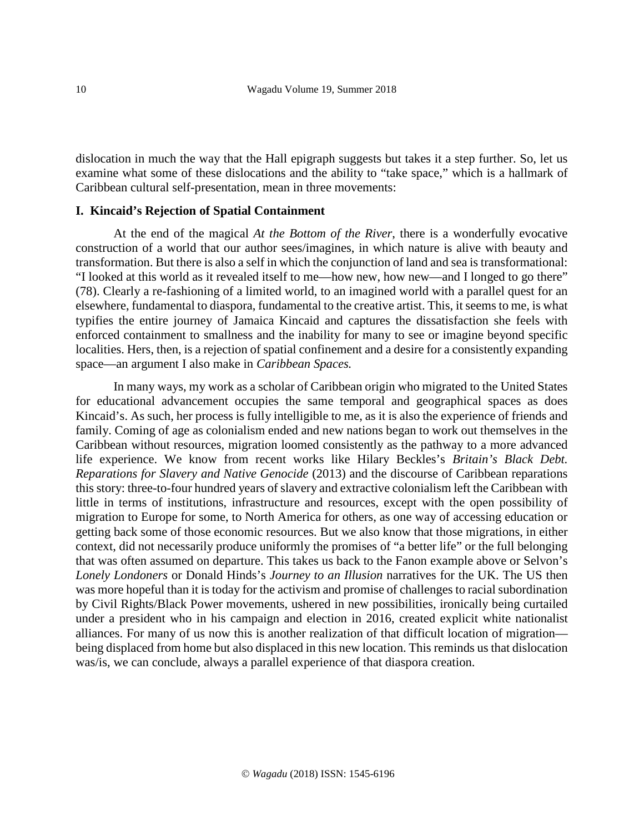dislocation in much the way that the Hall epigraph suggests but takes it a step further. So, let us examine what some of these dislocations and the ability to "take space," which is a hallmark of Caribbean cultural self-presentation, mean in three movements:

## **I. Kincaid's Rejection of Spatial Containment**

At the end of the magical *At the Bottom of the River*, there is a wonderfully evocative construction of a world that our author sees/imagines, in which nature is alive with beauty and transformation. But there is also a self in which the conjunction of land and sea is transformational: "I looked at this world as it revealed itself to me—how new, how new—and I longed to go there" (78). Clearly a re-fashioning of a limited world, to an imagined world with a parallel quest for an elsewhere, fundamental to diaspora, fundamental to the creative artist. This, it seems to me, is what typifies the entire journey of Jamaica Kincaid and captures the dissatisfaction she feels with enforced containment to smallness and the inability for many to see or imagine beyond specific localities. Hers, then, is a rejection of spatial confinement and a desire for a consistently expanding space—an argument I also make in *Caribbean Spaces.*

In many ways, my work as a scholar of Caribbean origin who migrated to the United States for educational advancement occupies the same temporal and geographical spaces as does Kincaid's. As such, her process is fully intelligible to me, as it is also the experience of friends and family. Coming of age as colonialism ended and new nations began to work out themselves in the Caribbean without resources, migration loomed consistently as the pathway to a more advanced life experience. We know from recent works like Hilary Beckles's *Britain's Black Debt. Reparations for Slavery and Native Genocide* (2013) and the discourse of Caribbean reparations this story: three-to-four hundred years of slavery and extractive colonialism left the Caribbean with little in terms of institutions, infrastructure and resources, except with the open possibility of migration to Europe for some, to North America for others, as one way of accessing education or getting back some of those economic resources. But we also know that those migrations, in either context, did not necessarily produce uniformly the promises of "a better life" or the full belonging that was often assumed on departure. This takes us back to the Fanon example above or Selvon's *Lonely Londoners* or Donald Hinds's *Journey to an Illusion* narratives for the UK. The US then was more hopeful than it is today for the activism and promise of challenges to racial subordination by Civil Rights/Black Power movements, ushered in new possibilities, ironically being curtailed under a president who in his campaign and election in 2016, created explicit white nationalist alliances. For many of us now this is another realization of that difficult location of migration being displaced from home but also displaced in this new location. This reminds us that dislocation was/is, we can conclude, always a parallel experience of that diaspora creation.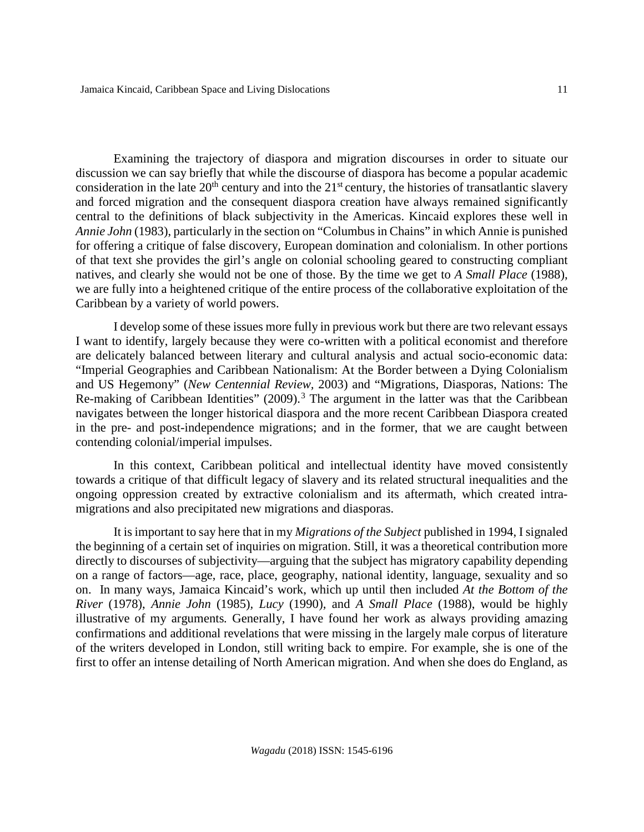Examining the trajectory of diaspora and migration discourses in order to situate our discussion we can say briefly that while the discourse of diaspora has become a popular academic consideration in the late  $20<sup>th</sup>$  century and into the  $21<sup>st</sup>$  century, the histories of transatlantic slavery and forced migration and the consequent diaspora creation have always remained significantly central to the definitions of black subjectivity in the Americas. Kincaid explores these well in *Annie John* (1983), particularly in the section on "Columbus in Chains" in which Annie is punished for offering a critique of false discovery, European domination and colonialism. In other portions of that text she provides the girl's angle on colonial schooling geared to constructing compliant natives, and clearly she would not be one of those. By the time we get to *A Small Place* (1988), we are fully into a heightened critique of the entire process of the collaborative exploitation of the Caribbean by a variety of world powers.

I develop some of these issues more fully in previous work but there are two relevant essays I want to identify, largely because they were co-written with a political economist and therefore are delicately balanced between literary and cultural analysis and actual socio-economic data: "Imperial Geographies and Caribbean Nationalism: At the Border between a Dying Colonialism and US Hegemony" (*New Centennial Review,* 2003) and "Migrations, Diasporas, Nations: The Re-making of Caribbean Identities" (2009).<sup>[3](#page-14-2)</sup> The argument in the latter was that the Caribbean navigates between the longer historical diaspora and the more recent Caribbean Diaspora created in the pre- and post-independence migrations; and in the former, that we are caught between contending colonial/imperial impulses.

In this context, Caribbean political and intellectual identity have moved consistently towards a critique of that difficult legacy of slavery and its related structural inequalities and the ongoing oppression created by extractive colonialism and its aftermath, which created intramigrations and also precipitated new migrations and diasporas.

It is important to say here that in my *Migrations of the Subject* published in 1994, I signaled the beginning of a certain set of inquiries on migration. Still, it was a theoretical contribution more directly to discourses of subjectivity—arguing that the subject has migratory capability depending on a range of factors—age, race, place, geography, national identity, language, sexuality and so on. In many ways, Jamaica Kincaid's work, which up until then included *At the Bottom of the River* (1978), *Annie John* (1985)*, Lucy* (1990)*,* and *A Small Place* (1988), would be highly illustrative of my arguments*.* Generally, I have found her work as always providing amazing confirmations and additional revelations that were missing in the largely male corpus of literature of the writers developed in London, still writing back to empire. For example, she is one of the first to offer an intense detailing of North American migration. And when she does do England, as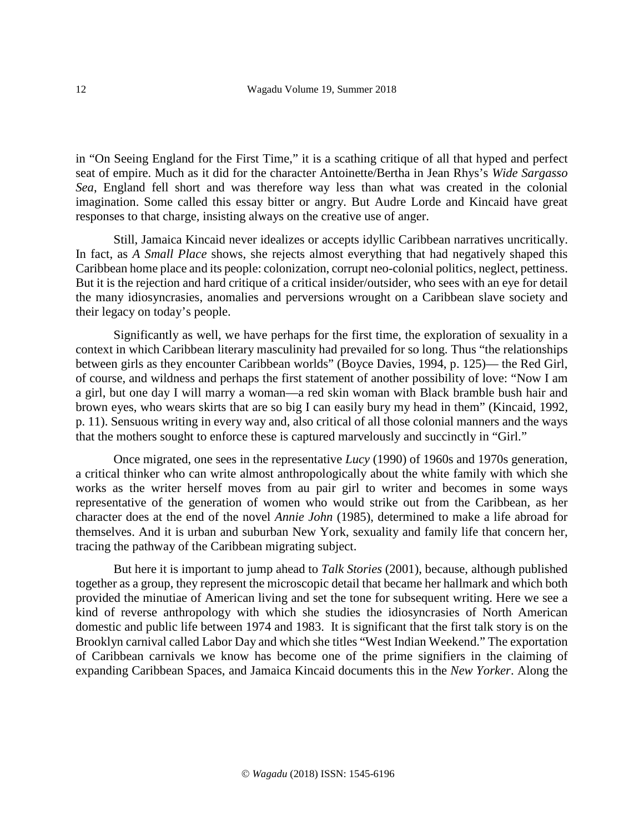in "On Seeing England for the First Time," it is a scathing critique of all that hyped and perfect seat of empire. Much as it did for the character Antoinette/Bertha in Jean Rhys's *Wide Sargasso Sea*, England fell short and was therefore way less than what was created in the colonial imagination. Some called this essay bitter or angry. But Audre Lorde and Kincaid have great responses to that charge, insisting always on the creative use of anger.

Still, Jamaica Kincaid never idealizes or accepts idyllic Caribbean narratives uncritically. In fact, as *A Small Place* shows, she rejects almost everything that had negatively shaped this Caribbean home place and its people: colonization, corrupt neo-colonial politics, neglect, pettiness. But it is the rejection and hard critique of a critical insider/outsider, who sees with an eye for detail the many idiosyncrasies, anomalies and perversions wrought on a Caribbean slave society and their legacy on today's people.

Significantly as well, we have perhaps for the first time, the exploration of sexuality in a context in which Caribbean literary masculinity had prevailed for so long. Thus "the relationships between girls as they encounter Caribbean worlds" (Boyce Davies, 1994, p. 125)— the Red Girl, of course, and wildness and perhaps the first statement of another possibility of love: "Now I am a girl, but one day I will marry a woman—a red skin woman with Black bramble bush hair and brown eyes, who wears skirts that are so big I can easily bury my head in them" (Kincaid, 1992*,* p. 11). Sensuous writing in every way and, also critical of all those colonial manners and the ways that the mothers sought to enforce these is captured marvelously and succinctly in "Girl."

Once migrated, one sees in the representative *Lucy* (1990) of 1960s and 1970s generation, a critical thinker who can write almost anthropologically about the white family with which she works as the writer herself moves from au pair girl to writer and becomes in some ways representative of the generation of women who would strike out from the Caribbean, as her character does at the end of the novel *Annie John* (1985), determined to make a life abroad for themselves. And it is urban and suburban New York, sexuality and family life that concern her, tracing the pathway of the Caribbean migrating subject.

But here it is important to jump ahead to *Talk Stories* (2001), because, although published together as a group, they represent the microscopic detail that became her hallmark and which both provided the minutiae of American living and set the tone for subsequent writing. Here we see a kind of reverse anthropology with which she studies the idiosyncrasies of North American domestic and public life between 1974 and 1983. It is significant that the first talk story is on the Brooklyn carnival called Labor Day and which she titles "West Indian Weekend." The exportation of Caribbean carnivals we know has become one of the prime signifiers in the claiming of expanding Caribbean Spaces, and Jamaica Kincaid documents this in the *New Yorker*. Along the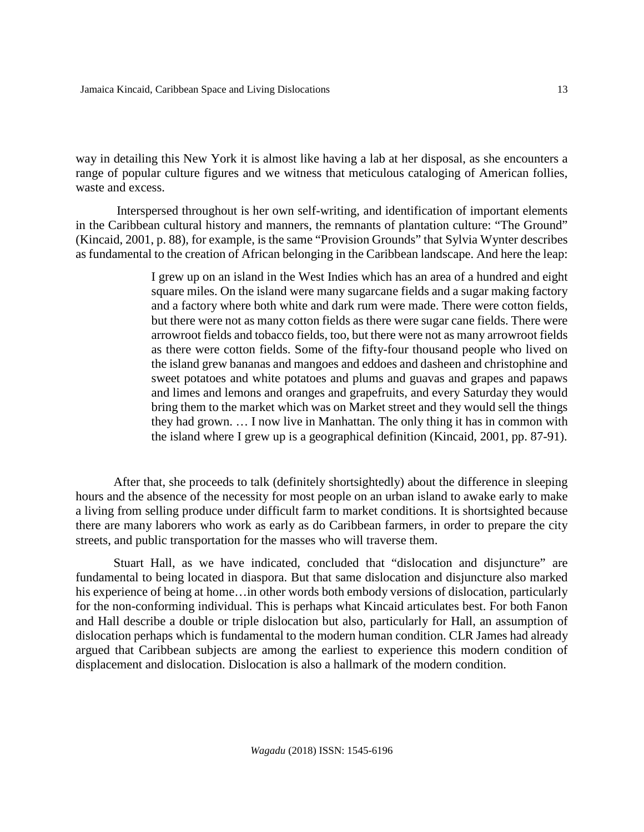way in detailing this New York it is almost like having a lab at her disposal, as she encounters a range of popular culture figures and we witness that meticulous cataloging of American follies, waste and excess.

Interspersed throughout is her own self-writing, and identification of important elements in the Caribbean cultural history and manners, the remnants of plantation culture: "The Ground" (Kincaid, 2001, p. 88), for example, is the same "Provision Grounds" that Sylvia Wynter describes as fundamental to the creation of African belonging in the Caribbean landscape. And here the leap:

> I grew up on an island in the West Indies which has an area of a hundred and eight square miles. On the island were many sugarcane fields and a sugar making factory and a factory where both white and dark rum were made. There were cotton fields, but there were not as many cotton fields as there were sugar cane fields. There were arrowroot fields and tobacco fields, too, but there were not as many arrowroot fields as there were cotton fields. Some of the fifty-four thousand people who lived on the island grew bananas and mangoes and eddoes and dasheen and christophine and sweet potatoes and white potatoes and plums and guavas and grapes and papaws and limes and lemons and oranges and grapefruits, and every Saturday they would bring them to the market which was on Market street and they would sell the things they had grown. … I now live in Manhattan. The only thing it has in common with the island where I grew up is a geographical definition (Kincaid, 2001, pp. 87-91).

After that, she proceeds to talk (definitely shortsightedly) about the difference in sleeping hours and the absence of the necessity for most people on an urban island to awake early to make a living from selling produce under difficult farm to market conditions. It is shortsighted because there are many laborers who work as early as do Caribbean farmers, in order to prepare the city streets, and public transportation for the masses who will traverse them.

Stuart Hall, as we have indicated, concluded that "dislocation and disjuncture" are fundamental to being located in diaspora. But that same dislocation and disjuncture also marked his experience of being at home...in other words both embody versions of dislocation, particularly for the non-conforming individual. This is perhaps what Kincaid articulates best. For both Fanon and Hall describe a double or triple dislocation but also, particularly for Hall, an assumption of dislocation perhaps which is fundamental to the modern human condition. CLR James had already argued that Caribbean subjects are among the earliest to experience this modern condition of displacement and dislocation. Dislocation is also a hallmark of the modern condition.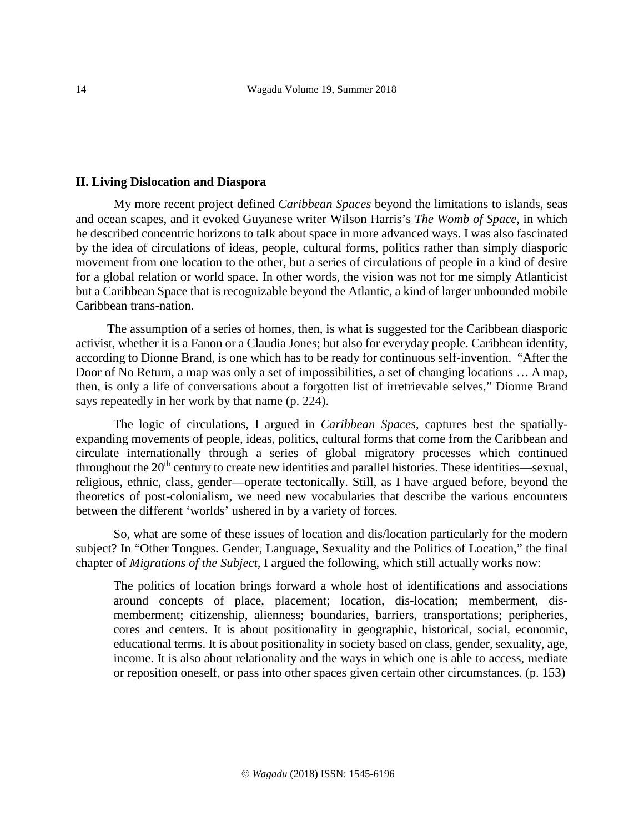#### **II. Living Dislocation and Diaspora**

My more recent project defined *Caribbean Spaces* beyond the limitations to islands, seas and ocean scapes, and it evoked Guyanese writer Wilson Harris's *The Womb of Space*, in which he described concentric horizons to talk about space in more advanced ways. I was also fascinated by the idea of circulations of ideas, people, cultural forms, politics rather than simply diasporic movement from one location to the other, but a series of circulations of people in a kind of desire for a global relation or world space. In other words, the vision was not for me simply Atlanticist but a Caribbean Space that is recognizable beyond the Atlantic, a kind of larger unbounded mobile Caribbean trans-nation.

 The assumption of a series of homes, then, is what is suggested for the Caribbean diasporic activist, whether it is a Fanon or a Claudia Jones; but also for everyday people. Caribbean identity, according to Dionne Brand, is one which has to be ready for continuous self-invention. "After the Door of No Return, a map was only a set of impossibilities, a set of changing locations … A map, then, is only a life of conversations about a forgotten list of irretrievable selves," Dionne Brand says repeatedly in her work by that name (p. 224).

The logic of circulations, I argued in *Caribbean Spaces*, captures best the spatiallyexpanding movements of people, ideas, politics, cultural forms that come from the Caribbean and circulate internationally through a series of global migratory processes which continued throughout the  $20<sup>th</sup>$  century to create new identities and parallel histories. These identities—sexual, religious, ethnic, class, gender—operate tectonically. Still, as I have argued before, beyond the theoretics of post-colonialism, we need new vocabularies that describe the various encounters between the different 'worlds' ushered in by a variety of forces.

So, what are some of these issues of location and dis/location particularly for the modern subject? In "Other Tongues. Gender, Language, Sexuality and the Politics of Location," the final chapter of *Migrations of the Subject,* I argued the following, which still actually works now:

The politics of location brings forward a whole host of identifications and associations around concepts of place, placement; location, dis-location; memberment, dismemberment; citizenship, alienness; boundaries, barriers, transportations; peripheries, cores and centers. It is about positionality in geographic, historical, social, economic, educational terms. It is about positionality in society based on class, gender, sexuality, age, income. It is also about relationality and the ways in which one is able to access, mediate or reposition oneself, or pass into other spaces given certain other circumstances. (p. 153)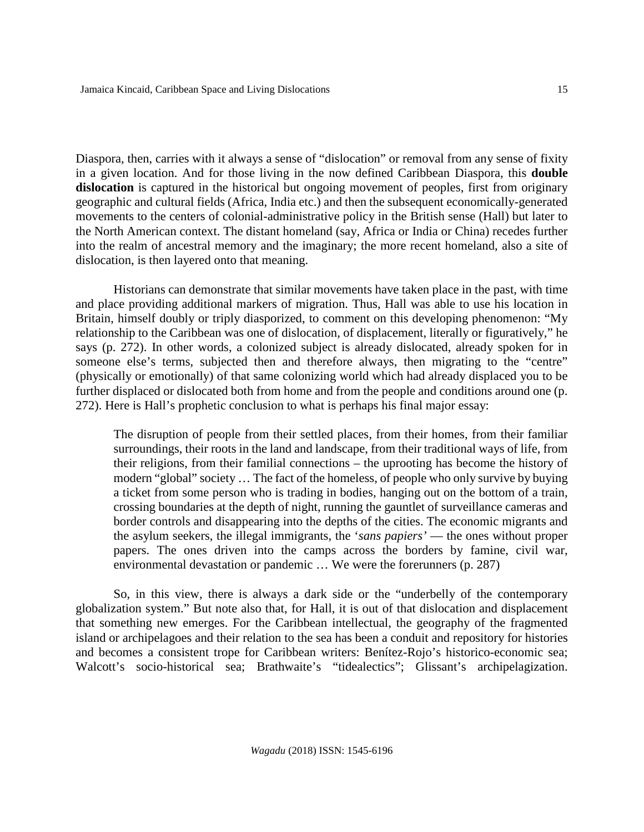Diaspora, then, carries with it always a sense of "dislocation" or removal from any sense of fixity in a given location. And for those living in the now defined Caribbean Diaspora, this **double dislocation** is captured in the historical but ongoing movement of peoples, first from originary geographic and cultural fields (Africa, India etc.) and then the subsequent economically-generated movements to the centers of colonial-administrative policy in the British sense (Hall) but later to the North American context. The distant homeland (say, Africa or India or China) recedes further into the realm of ancestral memory and the imaginary; the more recent homeland, also a site of dislocation, is then layered onto that meaning.

Historians can demonstrate that similar movements have taken place in the past, with time and place providing additional markers of migration. Thus, Hall was able to use his location in Britain, himself doubly or triply diasporized, to comment on this developing phenomenon: "My relationship to the Caribbean was one of dislocation, of displacement, literally or figuratively," he says (p. 272). In other words, a colonized subject is already dislocated, already spoken for in someone else's terms, subjected then and therefore always, then migrating to the "centre" (physically or emotionally) of that same colonizing world which had already displaced you to be further displaced or dislocated both from home and from the people and conditions around one (p. 272). Here is Hall's prophetic conclusion to what is perhaps his final major essay:

The disruption of people from their settled places, from their homes, from their familiar surroundings, their roots in the land and landscape, from their traditional ways of life, from their religions, from their familial connections – the uprooting has become the history of modern "global" society … The fact of the homeless, of people who only survive by buying a ticket from some person who is trading in bodies, hanging out on the bottom of a train, crossing boundaries at the depth of night, running the gauntlet of surveillance cameras and border controls and disappearing into the depths of the cities. The economic migrants and the asylum seekers, the illegal immigrants, the '*sans papiers'* — the ones without proper papers. The ones driven into the camps across the borders by famine, civil war, environmental devastation or pandemic … We were the forerunners (p. 287)

So, in this view, there is always a dark side or the "underbelly of the contemporary globalization system." But note also that, for Hall, it is out of that dislocation and displacement that something new emerges. For the Caribbean intellectual, the geography of the fragmented island or archipelagoes and their relation to the sea has been a conduit and repository for histories and becomes a consistent trope for Caribbean writers: Benítez-Rojo's historico-economic sea; Walcott's socio-historical sea; Brathwaite's "tidealectics"; Glissant's archipelagization.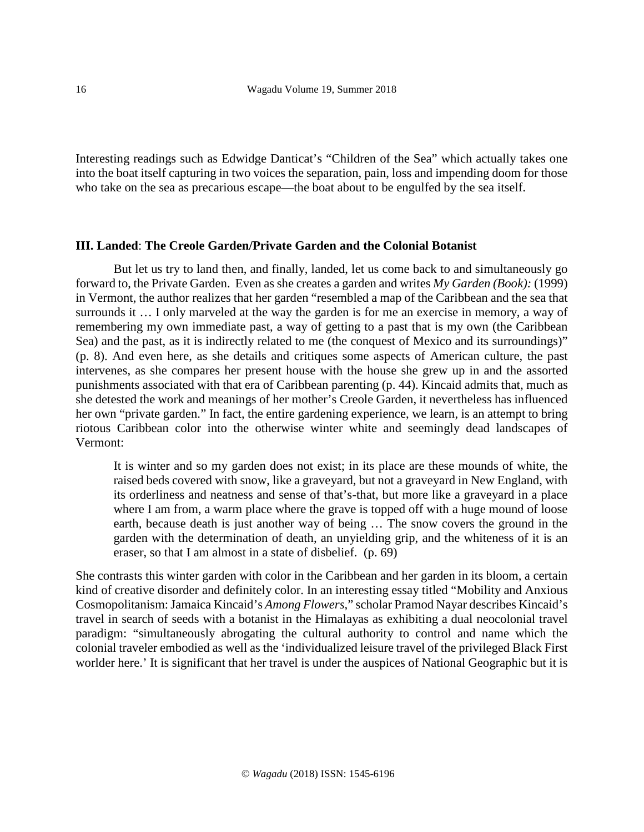Interesting readings such as Edwidge Danticat's "Children of the Sea" which actually takes one into the boat itself capturing in two voices the separation, pain, loss and impending doom for those who take on the sea as precarious escape—the boat about to be engulfed by the sea itself.

## **III. Landed**: **The Creole Garden/Private Garden and the Colonial Botanist**

But let us try to land then, and finally, landed, let us come back to and simultaneously go forward to, the Private Garden. Even as she creates a garden and writes *My Garden (Book):* (1999) in Vermont, the author realizes that her garden "resembled a map of the Caribbean and the sea that surrounds it … I only marveled at the way the garden is for me an exercise in memory, a way of remembering my own immediate past, a way of getting to a past that is my own (the Caribbean Sea) and the past, as it is indirectly related to me (the conquest of Mexico and its surroundings)" (p. 8). And even here, as she details and critiques some aspects of American culture, the past intervenes, as she compares her present house with the house she grew up in and the assorted punishments associated with that era of Caribbean parenting (p. 44). Kincaid admits that, much as she detested the work and meanings of her mother's Creole Garden, it nevertheless has influenced her own "private garden." In fact, the entire gardening experience, we learn, is an attempt to bring riotous Caribbean color into the otherwise winter white and seemingly dead landscapes of Vermont:

It is winter and so my garden does not exist; in its place are these mounds of white, the raised beds covered with snow, like a graveyard, but not a graveyard in New England, with its orderliness and neatness and sense of that's-that, but more like a graveyard in a place where I am from, a warm place where the grave is topped off with a huge mound of loose earth, because death is just another way of being … The snow covers the ground in the garden with the determination of death, an unyielding grip, and the whiteness of it is an eraser, so that I am almost in a state of disbelief. (p. 69)

She contrasts this winter garden with color in the Caribbean and her garden in its bloom, a certain kind of creative disorder and definitely color. In an interesting essay titled "Mobility and Anxious Cosmopolitanism: Jamaica Kincaid's *Among Flowers*," scholar Pramod Nayar describes Kincaid's travel in search of seeds with a botanist in the Himalayas as exhibiting a dual neocolonial travel paradigm: "simultaneously abrogating the cultural authority to control and name which the colonial traveler embodied as well as the 'individualized leisure travel of the privileged Black First worlder here.' It is significant that her travel is under the auspices of National Geographic but it is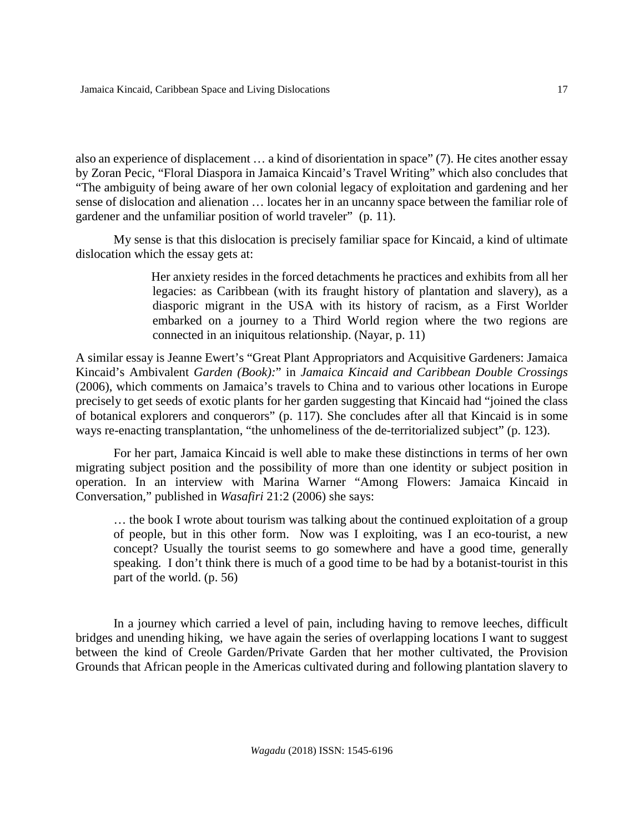also an experience of displacement … a kind of disorientation in space" (7). He cites another essay by Zoran Pecic, "Floral Diaspora in Jamaica Kincaid's Travel Writing" which also concludes that "The ambiguity of being aware of her own colonial legacy of exploitation and gardening and her sense of dislocation and alienation … locates her in an uncanny space between the familiar role of gardener and the unfamiliar position of world traveler" (p. 11).

My sense is that this dislocation is precisely familiar space for Kincaid, a kind of ultimate dislocation which the essay gets at:

> Her anxiety resides in the forced detachments he practices and exhibits from all her legacies: as Caribbean (with its fraught history of plantation and slavery), as a diasporic migrant in the USA with its history of racism, as a First Worlder embarked on a journey to a Third World region where the two regions are connected in an iniquitous relationship. (Nayar, p. 11)

A similar essay is Jeanne Ewert's "Great Plant Appropriators and Acquisitive Gardeners: Jamaica Kincaid's Ambivalent *Garden (Book):*" in *Jamaica Kincaid and Caribbean Double Crossings* (2006), which comments on Jamaica's travels to China and to various other locations in Europe precisely to get seeds of exotic plants for her garden suggesting that Kincaid had "joined the class of botanical explorers and conquerors" (p. 117). She concludes after all that Kincaid is in some ways re-enacting transplantation, "the unhomeliness of the de-territorialized subject" (p. 123).

For her part, Jamaica Kincaid is well able to make these distinctions in terms of her own migrating subject position and the possibility of more than one identity or subject position in operation. In an interview with Marina Warner "Among Flowers: Jamaica Kincaid in Conversation," published in *Wasafiri* 21:2 (2006) she says:

… the book I wrote about tourism was talking about the continued exploitation of a group of people, but in this other form. Now was I exploiting, was I an eco-tourist, a new concept? Usually the tourist seems to go somewhere and have a good time, generally speaking. I don't think there is much of a good time to be had by a botanist-tourist in this part of the world. (p. 56)

In a journey which carried a level of pain, including having to remove leeches, difficult bridges and unending hiking, we have again the series of overlapping locations I want to suggest between the kind of Creole Garden/Private Garden that her mother cultivated, the Provision Grounds that African people in the Americas cultivated during and following plantation slavery to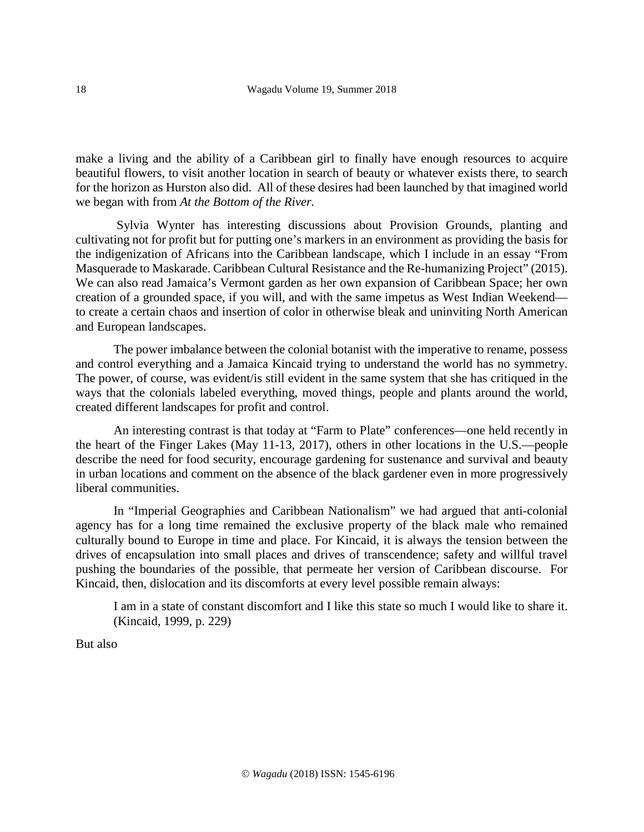make a living and the ability of a Caribbean girl to finally have enough resources to acquire beautiful flowers, to visit another location in search of beauty or whatever exists there, to search for the horizon as Hurston also did. All of these desires had been launched by that imagined world we began with from *At the Bottom of the River.*

Sylvia Wynter has interesting discussions about Provision Grounds, planting and cultivating not for profit but for putting one's markers in an environment as providing the basis for the indigenization of Africans into the Caribbean landscape, which I include in an essay "From Masquerade to Maskarade. Caribbean Cultural Resistance and the Re-humanizing Project" (2015). We can also read Jamaica's Vermont garden as her own expansion of Caribbean Space; her own creation of a grounded space, if you will, and with the same impetus as West Indian Weekend to create a certain chaos and insertion of color in otherwise bleak and uninviting North American and European landscapes.

The power imbalance between the colonial botanist with the imperative to rename, possess and control everything and a Jamaica Kincaid trying to understand the world has no symmetry. The power, of course, was evident/is still evident in the same system that she has critiqued in the ways that the colonials labeled everything, moved things, people and plants around the world, created different landscapes for profit and control.

An interesting contrast is that today at "Farm to Plate" conferences—one held recently in the heart of the Finger Lakes (May 11-13, 2017), others in other locations in the U.S.—people describe the need for food security, encourage gardening for sustenance and survival and beauty in urban locations and comment on the absence of the black gardener even in more progressively liberal communities.

In "Imperial Geographies and Caribbean Nationalism" we had argued that anti-colonial agency has for a long time remained the exclusive property of the black male who remained culturally bound to Europe in time and place. For Kincaid, it is always the tension between the drives of encapsulation into small places and drives of transcendence; safety and willful travel pushing the boundaries of the possible, that permeate her version of Caribbean discourse. For Kincaid, then, dislocation and its discomforts at every level possible remain always:

I am in a state of constant discomfort and I like this state so much I would like to share it. (Kincaid, 1999, p. 229)

But also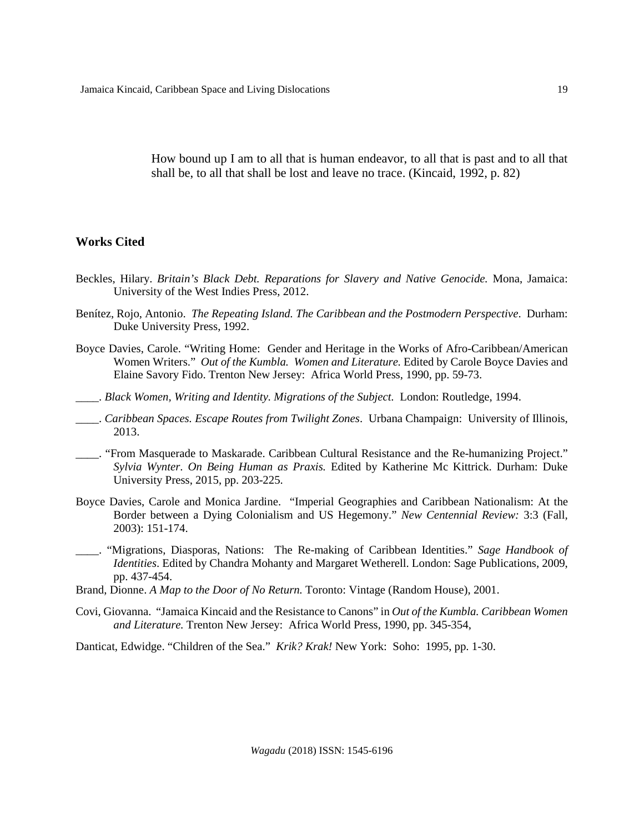How bound up I am to all that is human endeavor, to all that is past and to all that shall be, to all that shall be lost and leave no trace. (Kincaid, 1992, p. 82)

## **Works Cited**

- Beckles, Hilary. *Britain's Black Debt. Reparations for Slavery and Native Genocide.* Mona, Jamaica: University of the West Indies Press, 2012.
- Benítez, Rojo, Antonio. *The Repeating Island. The Caribbean and the Postmodern Perspective*. Durham: Duke University Press, 1992.
- Boyce Davies, Carole. "Writing Home: Gender and Heritage in the Works of Afro-Caribbean/American Women Writers." *Out of the Kumbla. Women and Literature.* Edited by Carole Boyce Davies and Elaine Savory Fido. Trenton New Jersey: Africa World Press, 1990, pp. 59-73.
- \_\_\_\_. *Black Women, Writing and Identity. Migrations of the Subject.* London: Routledge, 1994.
- \_\_\_\_. *Caribbean Spaces. Escape Routes from Twilight Zones*. Urbana Champaign: University of Illinois, 2013.
- \_\_\_\_. "From Masquerade to Maskarade. Caribbean Cultural Resistance and the Re-humanizing Project." *Sylvia Wynter*. *On Being Human as Praxis.* Edited by Katherine Mc Kittrick. Durham: Duke University Press, 2015, pp. 203-225.
- Boyce Davies, Carole and Monica Jardine. "Imperial Geographies and Caribbean Nationalism: At the Border between a Dying Colonialism and US Hegemony." *New Centennial Review:* 3:3 (Fall*,*  2003): 151-174.
- \_\_\_\_. "Migrations, Diasporas, Nations: The Re-making of Caribbean Identities." *Sage Handbook of Identities*. Edited by Chandra Mohanty and Margaret Wetherell. London: Sage Publications, 2009, pp. 437-454.
- Brand, Dionne. *A Map to the Door of No Return.* Toronto: Vintage (Random House), 2001.
- Covi, Giovanna. "Jamaica Kincaid and the Resistance to Canons" in *Out of the Kumbla. Caribbean Women and Literature.* Trenton New Jersey: Africa World Press*,* 1990, pp. 345-354,

Danticat, Edwidge. "Children of the Sea." *Krik? Krak!* New York: Soho: 1995, pp. 1-30.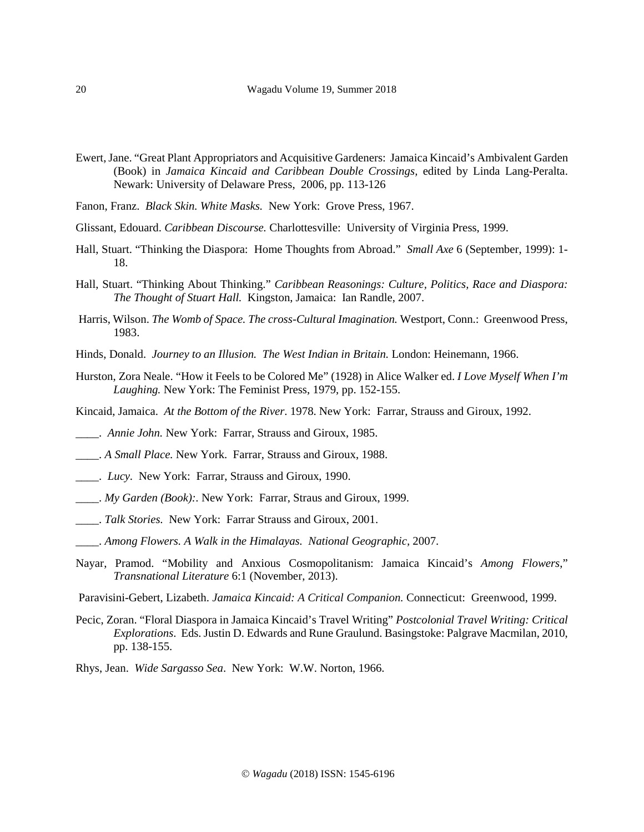- Ewert, Jane. "Great Plant Appropriators and Acquisitive Gardeners: Jamaica Kincaid's Ambivalent Garden (Book) in *Jamaica Kincaid and Caribbean Double Crossings,* edited by Linda Lang-Peralta. Newark: University of Delaware Press, 2006, pp. 113-126
- Fanon, Franz. *Black Skin. White Masks.* New York: Grove Press, 1967.
- Glissant, Edouard. *Caribbean Discourse.* Charlottesville: University of Virginia Press, 1999.
- Hall, Stuart. "Thinking the Diaspora: Home Thoughts from Abroad." *Small Axe* 6 (September, 1999): 1- 18.
- Hall, Stuart. "Thinking About Thinking." *Caribbean Reasonings: Culture, Politics, Race and Diaspora: The Thought of Stuart Hall.* Kingston, Jamaica: Ian Randle, 2007.
- Harris, Wilson. *The Womb of Space. The cross-Cultural Imagination.* Westport, Conn.: Greenwood Press, 1983.
- Hinds, Donald. *Journey to an Illusion. The West Indian in Britain.* London: Heinemann, 1966.
- Hurston, Zora Neale. "How it Feels to be Colored Me" (1928) in Alice Walker ed. *I Love Myself When I'm Laughing.* New York: The Feminist Press, 1979, pp. 152-155.
- Kincaid, Jamaica. *At the Bottom of the River*. 1978. New York: Farrar, Strauss and Giroux, 1992.
- \_\_\_\_. *Annie John.* New York: Farrar, Strauss and Giroux, 1985.
- \_\_\_\_. *A Small Place.* New York. Farrar, Strauss and Giroux, 1988.
- \_\_\_\_. *Lucy.* New York: Farrar, Strauss and Giroux, 1990.
- \_\_\_\_. *My Garden (Book):.* New York: Farrar, Straus and Giroux, 1999.
- \_\_\_\_. *Talk Stories.* New York:Farrar Strauss and Giroux, 2001.
- \_\_\_\_. *Among Flowers. A Walk in the Himalayas. National Geographic,* 2007.
- Nayar, Pramod. "Mobility and Anxious Cosmopolitanism: Jamaica Kincaid's *Among Flowers*," *Transnational Literature* 6:1 (November, 2013).
- Paravisini-Gebert, Lizabeth. *Jamaica Kincaid: A Critical Companion.* Connecticut: Greenwood, 1999.
- Pecic, Zoran. "Floral Diaspora in Jamaica Kincaid's Travel Writing" *Postcolonial Travel Writing: Critical Explorations*. Eds. Justin D. Edwards and Rune Graulund. Basingstoke: Palgrave Macmilan, 2010, pp. 138-155.
- Rhys, Jean. *Wide Sargasso Sea*. New York: W.W. Norton, 1966.